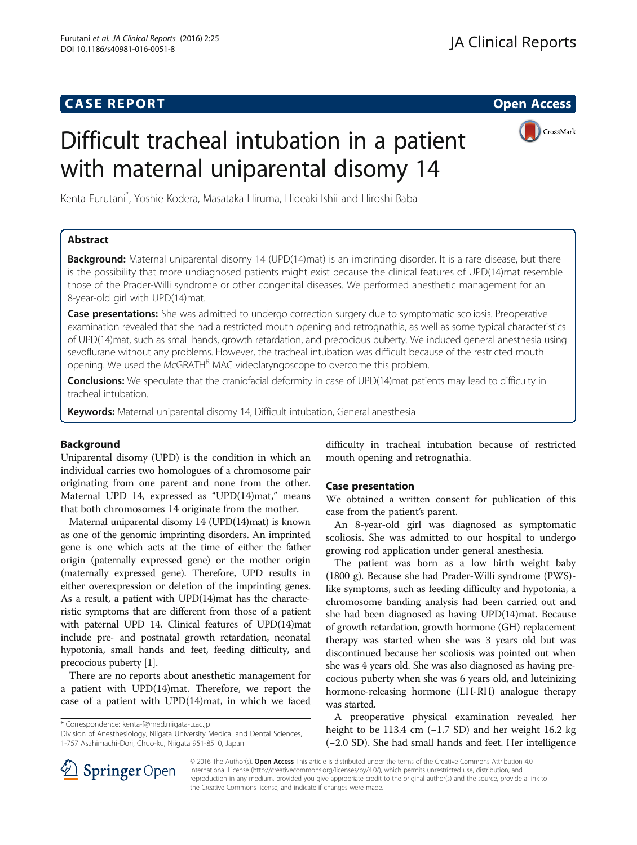## **CASE REPORT CASE REPORT CASE REPORT**

# Difficult tracheal intubation in a patient with maternal uniparental disomy 14

CrossMark



Kenta Furutani\* , Yoshie Kodera, Masataka Hiruma, Hideaki Ishii and Hiroshi Baba

## Abstract

Background: Maternal uniparental disomy 14 (UPD(14)mat) is an imprinting disorder. It is a rare disease, but there is the possibility that more undiagnosed patients might exist because the clinical features of UPD(14)mat resemble those of the Prader-Willi syndrome or other congenital diseases. We performed anesthetic management for an 8-year-old girl with UPD(14)mat.

Case presentations: She was admitted to undergo correction surgery due to symptomatic scoliosis. Preoperative examination revealed that she had a restricted mouth opening and retrognathia, as well as some typical characteristics of UPD(14)mat, such as small hands, growth retardation, and precocious puberty. We induced general anesthesia using sevoflurane without any problems. However, the tracheal intubation was difficult because of the restricted mouth opening. We used the McGRATH<sup>R</sup> MAC videolaryngoscope to overcome this problem.

Conclusions: We speculate that the craniofacial deformity in case of UPD(14)mat patients may lead to difficulty in tracheal intubation.

Keywords: Maternal uniparental disomy 14, Difficult intubation, General anesthesia

### Background

Uniparental disomy (UPD) is the condition in which an individual carries two homologues of a chromosome pair originating from one parent and none from the other. Maternal UPD 14, expressed as "UPD(14)mat," means that both chromosomes 14 originate from the mother.

Maternal uniparental disomy 14 (UPD(14)mat) is known as one of the genomic imprinting disorders. An imprinted gene is one which acts at the time of either the father origin (paternally expressed gene) or the mother origin (maternally expressed gene). Therefore, UPD results in either overexpression or deletion of the imprinting genes. As a result, a patient with UPD(14)mat has the characteristic symptoms that are different from those of a patient with paternal UPD 14. Clinical features of UPD(14)mat include pre- and postnatal growth retardation, neonatal hypotonia, small hands and feet, feeding difficulty, and precocious puberty [[1\]](#page-2-0).

There are no reports about anesthetic management for a patient with UPD(14)mat. Therefore, we report the case of a patient with UPD(14)mat, in which we faced

\* Correspondence: [kenta-f@med.niigata-u.ac.jp](mailto:kenta-f@med.niigata-u.ac.jp)

Division of Anesthesiology, Niigata University Medical and Dental Sciences, 1-757 Asahimachi-Dori, Chuo-ku, Niigata 951-8510, Japan

difficulty in tracheal intubation because of restricted mouth opening and retrognathia.

#### Case presentation

We obtained a written consent for publication of this case from the patient's parent.

An 8-year-old girl was diagnosed as symptomatic scoliosis. She was admitted to our hospital to undergo growing rod application under general anesthesia.

The patient was born as a low birth weight baby (1800 g). Because she had Prader-Willi syndrome (PWS) like symptoms, such as feeding difficulty and hypotonia, a chromosome banding analysis had been carried out and she had been diagnosed as having UPD(14)mat. Because of growth retardation, growth hormone (GH) replacement therapy was started when she was 3 years old but was discontinued because her scoliosis was pointed out when she was 4 years old. She was also diagnosed as having precocious puberty when she was 6 years old, and luteinizing hormone-releasing hormone (LH-RH) analogue therapy was started.

A preoperative physical examination revealed her height to be 113.4 cm (−1.7 SD) and her weight 16.2 kg (−2.0 SD). She had small hands and feet. Her intelligence



© 2016 The Author(s). Open Access This article is distributed under the terms of the Creative Commons Attribution 4.0 International License ([http://creativecommons.org/licenses/by/4.0/\)](http://creativecommons.org/licenses/by/4.0/), which permits unrestricted use, distribution, and reproduction in any medium, provided you give appropriate credit to the original author(s) and the source, provide a link to the Creative Commons license, and indicate if changes were made.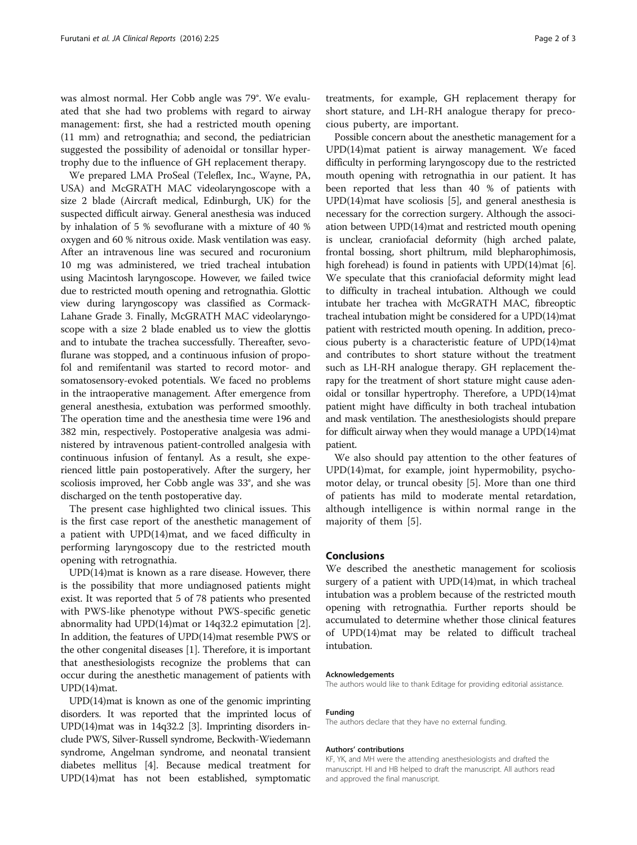was almost normal. Her Cobb angle was 79°. We evaluated that she had two problems with regard to airway management: first, she had a restricted mouth opening (11 mm) and retrognathia; and second, the pediatrician suggested the possibility of adenoidal or tonsillar hypertrophy due to the influence of GH replacement therapy.

We prepared LMA ProSeal (Teleflex, Inc., Wayne, PA, USA) and McGRATH MAC videolaryngoscope with a size 2 blade (Aircraft medical, Edinburgh, UK) for the suspected difficult airway. General anesthesia was induced by inhalation of 5 % sevoflurane with a mixture of 40 % oxygen and 60 % nitrous oxide. Mask ventilation was easy. After an intravenous line was secured and rocuronium 10 mg was administered, we tried tracheal intubation using Macintosh laryngoscope. However, we failed twice due to restricted mouth opening and retrognathia. Glottic view during laryngoscopy was classified as Cormack-Lahane Grade 3. Finally, McGRATH MAC videolaryngoscope with a size 2 blade enabled us to view the glottis and to intubate the trachea successfully. Thereafter, sevoflurane was stopped, and a continuous infusion of propofol and remifentanil was started to record motor- and somatosensory-evoked potentials. We faced no problems in the intraoperative management. After emergence from general anesthesia, extubation was performed smoothly. The operation time and the anesthesia time were 196 and 382 min, respectively. Postoperative analgesia was administered by intravenous patient-controlled analgesia with continuous infusion of fentanyl. As a result, she experienced little pain postoperatively. After the surgery, her scoliosis improved, her Cobb angle was 33°, and she was discharged on the tenth postoperative day.

The present case highlighted two clinical issues. This is the first case report of the anesthetic management of a patient with UPD(14)mat, and we faced difficulty in performing laryngoscopy due to the restricted mouth opening with retrognathia.

UPD(14)mat is known as a rare disease. However, there is the possibility that more undiagnosed patients might exist. It was reported that 5 of 78 patients who presented with PWS-like phenotype without PWS-specific genetic abnormality had UPD(14)mat or 14q32.2 epimutation [[2](#page-2-0)]. In addition, the features of UPD(14)mat resemble PWS or the other congenital diseases [[1\]](#page-2-0). Therefore, it is important that anesthesiologists recognize the problems that can occur during the anesthetic management of patients with UPD(14)mat.

UPD(14)mat is known as one of the genomic imprinting disorders. It was reported that the imprinted locus of UPD(14)mat was in 14q32.2 [\[3\]](#page-2-0). Imprinting disorders include PWS, Silver-Russell syndrome, Beckwith-Wiedemann syndrome, Angelman syndrome, and neonatal transient diabetes mellitus [\[4](#page-2-0)]. Because medical treatment for UPD(14)mat has not been established, symptomatic

treatments, for example, GH replacement therapy for short stature, and LH-RH analogue therapy for precocious puberty, are important.

Possible concern about the anesthetic management for a UPD(14)mat patient is airway management. We faced difficulty in performing laryngoscopy due to the restricted mouth opening with retrognathia in our patient. It has been reported that less than 40 % of patients with UPD(14)mat have scoliosis [[5\]](#page-2-0), and general anesthesia is necessary for the correction surgery. Although the association between UPD(14)mat and restricted mouth opening is unclear, craniofacial deformity (high arched palate, frontal bossing, short philtrum, mild blepharophimosis, high forehead) is found in patients with UPD(14)mat [[6](#page-2-0)]. We speculate that this craniofacial deformity might lead to difficulty in tracheal intubation. Although we could intubate her trachea with McGRATH MAC, fibreoptic tracheal intubation might be considered for a UPD(14)mat patient with restricted mouth opening. In addition, precocious puberty is a characteristic feature of UPD(14)mat and contributes to short stature without the treatment such as LH-RH analogue therapy. GH replacement therapy for the treatment of short stature might cause adenoidal or tonsillar hypertrophy. Therefore, a UPD(14)mat patient might have difficulty in both tracheal intubation and mask ventilation. The anesthesiologists should prepare for difficult airway when they would manage a UPD(14)mat patient.

We also should pay attention to the other features of UPD(14)mat, for example, joint hypermobility, psychomotor delay, or truncal obesity [\[5](#page-2-0)]. More than one third of patients has mild to moderate mental retardation, although intelligence is within normal range in the majority of them [[5\]](#page-2-0).

#### Conclusions

We described the anesthetic management for scoliosis surgery of a patient with UPD(14)mat, in which tracheal intubation was a problem because of the restricted mouth opening with retrognathia. Further reports should be accumulated to determine whether those clinical features of UPD(14)mat may be related to difficult tracheal intubation.

#### Acknowledgements

The authors would like to thank Editage for providing editorial assistance.

#### Funding

The authors declare that they have no external funding.

#### Authors' contributions

KF, YK, and MH were the attending anesthesiologists and drafted the manuscript. HI and HB helped to draft the manuscript. All authors read and approved the final manuscript.